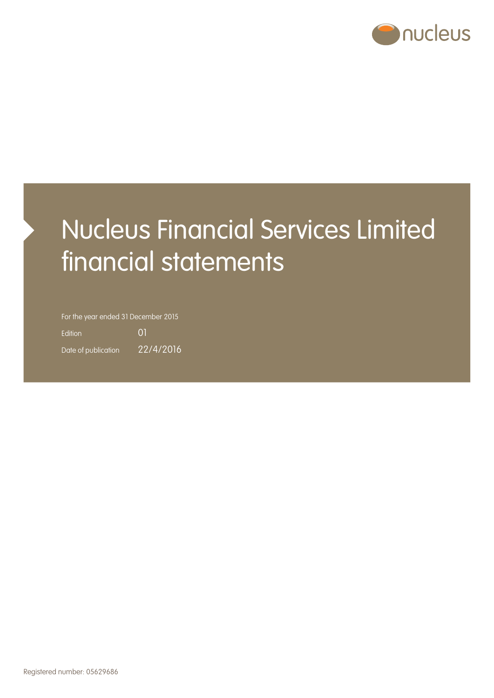

# Nucleus Financial Services Limited financial statements

For the year ended 31 December 2015

Edition 01 Date of publication 22/4/2016

Registered number: 05629686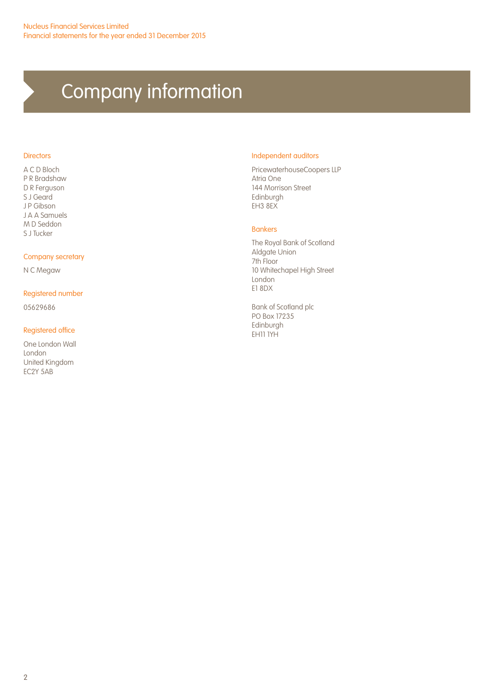## Company information

#### **Directors**

A C D Bloch P R Bradshaw D R Ferguson S J Geard J P Gibson J A A Samuels M D Seddon S J Tucker

#### Company secretary

N C Megaw

#### Registered number

05629686

#### Registered office

One London Wall London United Kingdom EC2Y 5AB

#### Independent auditors

PricewaterhouseCoopers LLP Atria One 144 Morrison Street Edinburgh EH3 8EX

#### Bankers

The Royal Bank of Scotland Aldgate Union 7th Floor 10 Whitechapel High Street London E1 8DX

Bank of Scotland plc PO Box 17235 Edinburgh EH11 1YH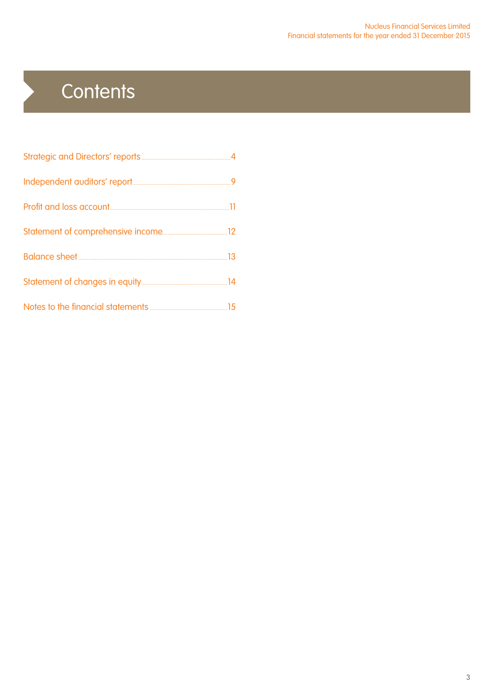## **Contents**

 $\blacktriangleright$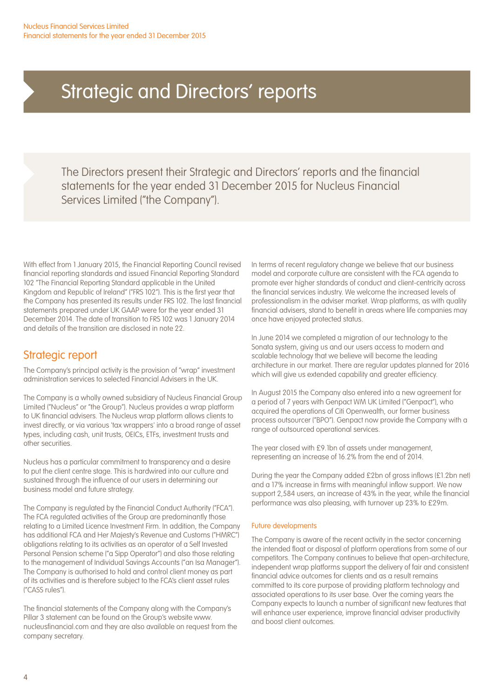The Directors present their Strategic and Directors' reports and the financial statements for the year ended 31 December 2015 for Nucleus Financial Services Limited ("the Company").

With effect from 1 January 2015, the Financial Reporting Council revised financial reporting standards and issued Financial Reporting Standard 102 "The Financial Reporting Standard applicable in the United Kingdom and Republic of Ireland" ("FRS 102"). This is the first year that the Company has presented its results under FRS 102. The last financial statements prepared under UK GAAP were for the year ended 31 December 2014. The date of transition to FRS 102 was 1 January 2014 and details of the transition are disclosed in note 22.

### Strategic report

The Company's principal activity is the provision of "wrap" investment administration services to selected Financial Advisers in the UK.

The Company is a wholly owned subsidiary of Nucleus Financial Group Limited ("Nucleus" or "the Group"). Nucleus provides a wrap platform to UK financial advisers. The Nucleus wrap platform allows clients to invest directly, or via various 'tax wrappers' into a broad range of asset types, including cash, unit trusts, OEICs, ETFs, investment trusts and other securities.

Nucleus has a particular commitment to transparency and a desire to put the client centre stage. This is hardwired into our culture and sustained through the influence of our users in determining our business model and future strategy.

The Company is regulated by the Financial Conduct Authority ("FCA"). The FCA regulated activities of the Group are predominantly those relating to a Limited Licence Investment Firm. In addition, the Company has additional FCA and Her Majesty's Revenue and Customs ("HMRC") obligations relating to its activities as an operator of a Self Invested Personal Pension scheme ("a Sipp Operator") and also those relating to the management of Individual Savings Accounts ("an Isa Manager"). The Company is authorised to hold and control client money as part of its activities and is therefore subject to the FCA's client asset rules ("CASS rules").

The financial statements of the Company along with the Company's Pillar 3 statement can be found on the Group's website www. nucleusfinancial.com and they are also available on request from the company secretary.

In terms of recent regulatory change we believe that our business model and corporate culture are consistent with the FCA agenda to promote ever higher standards of conduct and client-centricity across the financial services industry. We welcome the increased levels of professionalism in the adviser market. Wrap platforms, as with quality financial advisers, stand to benefit in areas where life companies may once have enjoyed protected status.

In June 2014 we completed a migration of our technology to the Sonata system, giving us and our users access to modern and scalable technology that we believe will become the leading architecture in our market. There are regular updates planned for 2016 which will give us extended capability and greater efficiency.

In August 2015 the Company also entered into a new agreement for a period of 7 years with Genpact WM UK Limited ("Genpact"), who acquired the operations of Citi Openwealth, our former business process outsourcer ("BPO"). Genpact now provide the Company with a range of outsourced operational services.

The year closed with £9.1bn of assets under management, representing an increase of 16.2% from the end of 2014.

During the year the Company added £2bn of gross inflows (£1.2bn net) and a 17% increase in firms with meaningful inflow support. We now support 2,584 users, an increase of 43% in the year, while the financial performance was also pleasing, with turnover up 23% to £29m.

#### Future developments

The Company is aware of the recent activity in the sector concerning the intended float or disposal of platform operations from some of our competitors. The Company continues to believe that open-architecture, independent wrap platforms support the delivery of fair and consistent financial advice outcomes for clients and as a result remains committed to its core purpose of providing platform technology and associated operations to its user base. Over the coming years the Company expects to launch a number of significant new features that will enhance user experience, improve financial adviser productivity and boost client outcomes.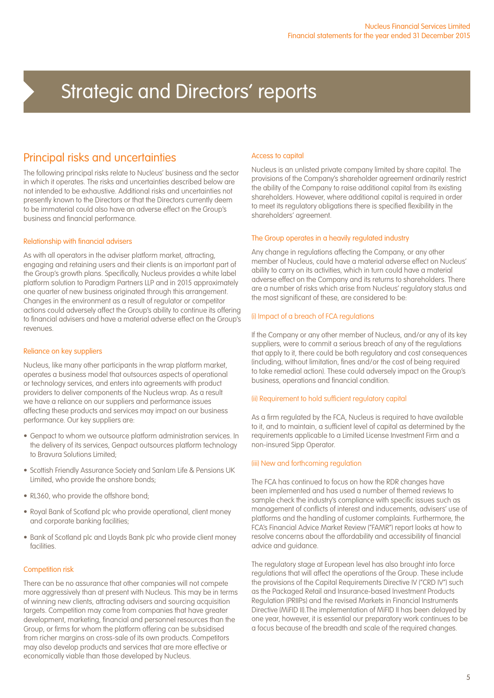### Principal risks and uncertainties

The following principal risks relate to Nucleus' business and the sector in which it operates. The risks and uncertainties described below are not intended to be exhaustive. Additional risks and uncertainties not presently known to the Directors or that the Directors currently deem to be immaterial could also have an adverse effect on the Group's business and financial performance.

#### Relationship with financial advisers

As with all operators in the adviser platform market, attracting, engaging and retaining users and their clients is an important part of the Group's growth plans. Specifically, Nucleus provides a white label platform solution to Paradigm Partners LLP and in 2015 approximately one quarter of new business originated through this arrangement. Changes in the environment as a result of regulator or competitor actions could adversely affect the Group's ability to continue its offering to financial advisers and have a material adverse effect on the Group's revenues.

#### Reliance on key suppliers

Nucleus, like many other participants in the wrap platform market, operates a business model that outsources aspects of operational or technology services, and enters into agreements with product providers to deliver components of the Nucleus wrap. As a result we have a reliance on our suppliers and performance issues affecting these products and services may impact on our business performance. Our key suppliers are:

- Genpact to whom we outsource platform administration services. In the delivery of its services, Genpact outsources platform technology to Bravura Solutions Limited;
- Scottish Friendly Assurance Society and Sanlam Life & Pensions UK Limited, who provide the onshore bonds;
- RL360, who provide the offshore bond;
- Royal Bank of Scotland plc who provide operational, client money and corporate banking facilities;
- Bank of Scotland plc and Lloyds Bank plc who provide client money facilities.

#### Competition risk

There can be no assurance that other companies will not compete more aggressively than at present with Nucleus. This may be in terms of winning new clients, attracting advisers and sourcing acquisition targets. Competition may come from companies that have greater development, marketing, financial and personnel resources than the Group, or firms for whom the platform offering can be subsidised from richer margins on cross-sale of its own products. Competitors may also develop products and services that are more effective or economically viable than those developed by Nucleus.

#### Access to capital

Nucleus is an unlisted private company limited by share capital. The provisions of the Company's shareholder agreement ordinarily restrict the ability of the Company to raise additional capital from its existing shareholders. However, where additional capital is required in order to meet its regulatory obligations there is specified flexibility in the shareholders' agreement.

#### The Group operates in a heavily regulated industry

Any change in regulations affecting the Company, or any other member of Nucleus, could have a material adverse effect on Nucleus' ability to carry on its activities, which in turn could have a material adverse effect on the Company and its returns to shareholders. There are a number of risks which arise from Nucleus' regulatory status and the most significant of these, are considered to be:

#### (i) Impact of a breach of FCA regulations

If the Company or any other member of Nucleus, and/or any of its key suppliers, were to commit a serious breach of any of the regulations that apply to it, there could be both regulatory and cost consequences (including, without limitation, fines and/or the cost of being required to take remedial action). These could adversely impact on the Group's business, operations and financial condition.

#### (ii) Requirement to hold sufficient regulatory capital

As a firm regulated by the FCA, Nucleus is required to have available to it, and to maintain, a sufficient level of capital as determined by the requirements applicable to a Limited License Investment Firm and a non-insured Sipp Operator.

#### (iii) New and forthcoming regulation

The FCA has continued to focus on how the RDR changes have been implemented and has used a number of themed reviews to sample check the industry's compliance with specific issues such as management of conflicts of interest and inducements, advisers' use of platforms and the handling of customer complaints. Furthermore, the FCA's Financial Advice Market Review ("FAMR") report looks at how to resolve concerns about the affordability and accessibility of financial advice and guidance.

The regulatory stage at European level has also brought into force regulations that will affect the operations of the Group. These include the provisions of the Capital Requirements Directive IV ("CRD IV") such as the Packaged Retail and Insurance-based Investment Products Regulation (PRIIPs) and the revised Markets in Financial Instruments Directive (MiFID II).The implementation of MiFID II has been delayed by one year, however, it is essential our preparatory work continues to be a focus because of the breadth and scale of the required changes.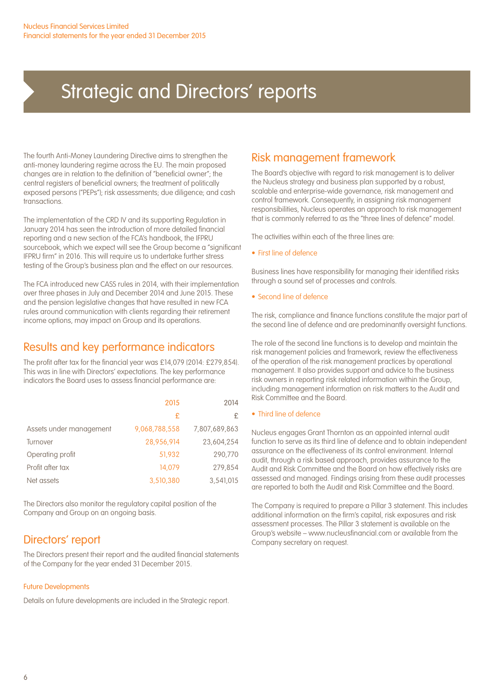The fourth Anti-Money Laundering Directive aims to strengthen the anti-money laundering regime across the EU. The main proposed changes are in relation to the definition of "beneficial owner"; the central registers of beneficial owners; the treatment of politically exposed persons ("PEPs"); risk assessments; due diligence; and cash transactions.

The implementation of the CRD IV and its supporting Regulation in January 2014 has seen the introduction of more detailed financial reporting and a new section of the FCA's handbook, the IFPRU sourcebook, which we expect will see the Group become a "significant IFPRU firm" in 2016. This will require us to undertake further stress testing of the Group's business plan and the effect on our resources.

The FCA introduced new CASS rules in 2014, with their implementation over three phases in July and December 2014 and June 2015. These and the pension legislative changes that have resulted in new FCA rules around communication with clients regarding their retirement income options, may impact on Group and its operations.

### Results and key performance indicators

The profit after tax for the financial year was £14,079 (2014: £279,854). This was in line with Directors' expectations. The key performance indicators the Board uses to assess financial performance are:

|                         | 2015          | 2014          |
|-------------------------|---------------|---------------|
|                         | £             | £             |
| Assets under management | 9,068,788,558 | 7,807,689,863 |
| Turnover                | 28.956.914    | 23.604.254    |
| Operating profit        | 51.932        | 290.770       |
| Profit after tax        | 14.079        | 279.854       |
| Net assets              | 3,510,380     | 3.541.015     |

The Directors also monitor the regulatory capital position of the Company and Group on an ongoing basis.

### Directors' report

The Directors present their report and the audited financial statements of the Company for the year ended 31 December 2015.

#### Future Developments

Details on future developments are included in the Strategic report.

### Risk management framework

The Board's objective with regard to risk management is to deliver the Nucleus strategy and business plan supported by a robust, scalable and enterprise-wide governance, risk management and control framework. Consequently, in assigning risk management responsibilities, Nucleus operates an approach to risk management that is commonly referred to as the "three lines of defence" model.

The activities within each of the three lines are:

• First line of defence

Business lines have responsibility for managing their identified risks through a sound set of processes and controls.

• Second line of defence

The risk, compliance and finance functions constitute the major part of the second line of defence and are predominantly oversight functions.

The role of the second line functions is to develop and maintain the risk management policies and framework, review the effectiveness of the operation of the risk management practices by operational management. It also provides support and advice to the business risk owners in reporting risk related information within the Group, including management information on risk matters to the Audit and Risk Committee and the Board.

#### • Third line of defence

Nucleus engages Grant Thornton as an appointed internal audit function to serve as its third line of defence and to obtain independent assurance on the effectiveness of its control environment. Internal audit, through a risk based approach, provides assurance to the Audit and Risk Committee and the Board on how effectively risks are assessed and managed. Findings arising from these audit processes are reported to both the Audit and Risk Committee and the Board.

The Company is required to prepare a Pillar 3 statement. This includes additional information on the firm's capital, risk exposures and risk assessment processes. The Pillar 3 statement is available on the Group's website – www.nucleusfinancial.com or available from the Company secretary on request.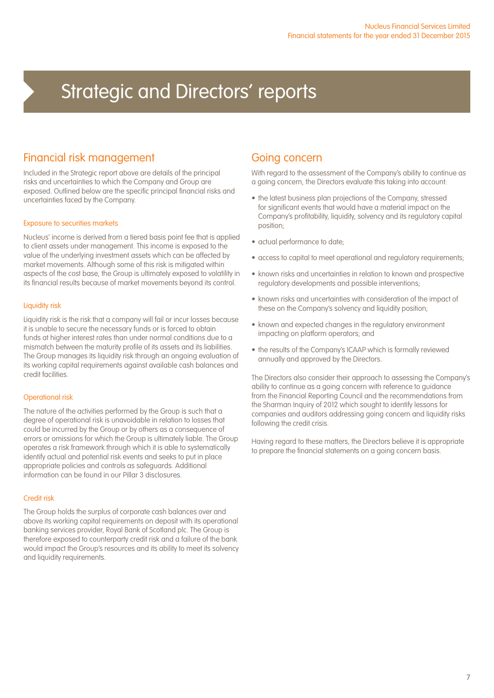### Financial risk management

Included in the Strategic report above are details of the principal risks and uncertainties to which the Company and Group are exposed. Outlined below are the specific principal financial risks and uncertainties faced by the Company.

#### Exposure to securities markets

Nucleus' income is derived from a tiered basis point fee that is applied to client assets under management. This income is exposed to the value of the underlying investment assets which can be affected by market movements. Although some of this risk is mitigated within aspects of the cost base, the Group is ultimately exposed to volatility in its financial results because of market movements beyond its control.

#### Liquidity risk

Liquidity risk is the risk that a company will fail or incur losses because it is unable to secure the necessary funds or is forced to obtain funds at higher interest rates than under normal conditions due to a mismatch between the maturity profile of its assets and its liabilities. The Group manages its liquidity risk through an ongoing evaluation of its working capital requirements against available cash balances and credit facilities.

#### Operational risk

The nature of the activities performed by the Group is such that a degree of operational risk is unavoidable in relation to losses that could be incurred by the Group or by others as a consequence of errors or omissions for which the Group is ultimately liable. The Group operates a risk framework through which it is able to systematically identify actual and potential risk events and seeks to put in place appropriate policies and controls as safeguards. Additional information can be found in our Pillar 3 disclosures.

#### Credit risk

The Group holds the surplus of corporate cash balances over and above its working capital requirements on deposit with its operational banking services provider, Royal Bank of Scotland plc. The Group is therefore exposed to counterparty credit risk and a failure of the bank would impact the Group's resources and its ability to meet its solvency and liquidity requirements.

### Going concern

With regard to the assessment of the Company's ability to continue as a going concern, the Directors evaluate this taking into account:

- the latest business plan projections of the Company, stressed for significant events that would have a material impact on the Company's profitability, liquidity, solvency and its regulatory capital position;
- actual performance to date;
- access to capital to meet operational and regulatory requirements;
- known risks and uncertainties in relation to known and prospective regulatory developments and possible interventions;
- known risks and uncertainties with consideration of the impact of these on the Company's solvency and liquidity position;
- known and expected changes in the regulatory environment impacting on platform operators; and
- the results of the Company's ICAAP which is formally reviewed annually and approved by the Directors.

The Directors also consider their approach to assessing the Company's ability to continue as a going concern with reference to guidance from the Financial Reporting Council and the recommendations from the Sharman Inquiry of 2012 which sought to identify lessons for companies and auditors addressing going concern and liquidity risks following the credit crisis.

Having regard to these matters, the Directors believe it is appropriate to prepare the financial statements on a going concern basis.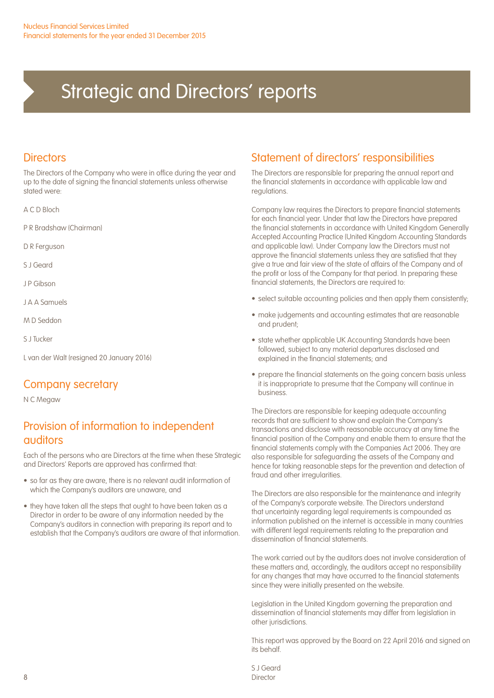### **Directors**

The Directors of the Company who were in office during the year and up to the date of signing the financial statements unless otherwise stated were:

A C D Bloch

P R Bradshaw (Chairman)

D R Ferguson

S J Geard

J P Gibson

J A A Samuels

M D Seddon

S J Tucker

L van der Walt (resigned 20 January 2016)

### Company secretary

N C Megaw

### Provision of information to independent auditors

Each of the persons who are Directors at the time when these Strategic and Directors' Reports are approved has confirmed that:

- so far as they are aware, there is no relevant audit information of which the Company's auditors are unaware, and
- they have taken all the steps that ought to have been taken as a Director in order to be aware of any information needed by the Company's auditors in connection with preparing its report and to establish that the Company's auditors are aware of that information.

### Statement of directors' responsibilities

The Directors are responsible for preparing the annual report and the financial statements in accordance with applicable law and regulations.

Company law requires the Directors to prepare financial statements for each financial year. Under that law the Directors have prepared the financial statements in accordance with United Kingdom Generally Accepted Accounting Practice (United Kingdom Accounting Standards and applicable law). Under Company law the Directors must not approve the financial statements unless they are satisfied that they give a true and fair view of the state of affairs of the Company and of the profit or loss of the Company for that period. In preparing these financial statements, the Directors are required to:

- select suitable accounting policies and then apply them consistently;
- make judgements and accounting estimates that are reasonable and prudent;
- state whether applicable UK Accounting Standards have been followed, subject to any material departures disclosed and explained in the financial statements; and
- prepare the financial statements on the going concern basis unless it is inappropriate to presume that the Company will continue in business.

The Directors are responsible for keeping adequate accounting records that are sufficient to show and explain the Company's transactions and disclose with reasonable accuracy at any time the financial position of the Company and enable them to ensure that the financial statements comply with the Companies Act 2006. They are also responsible for safeguarding the assets of the Company and hence for taking reasonable steps for the prevention and detection of fraud and other irregularities.

The Directors are also responsible for the maintenance and integrity of the Company's corporate website. The Directors understand that uncertainty regarding legal requirements is compounded as information published on the internet is accessible in many countries with different legal requirements relating to the preparation and dissemination of financial statements.

The work carried out by the auditors does not involve consideration of these matters and, accordingly, the auditors accept no responsibility for any changes that may have occurred to the financial statements since they were initially presented on the website.

Legislation in the United Kingdom governing the preparation and dissemination of financial statements may differ from legislation in other jurisdictions.

This report was approved by the Board on 22 April 2016 and signed on its behalf.

S J Geard Director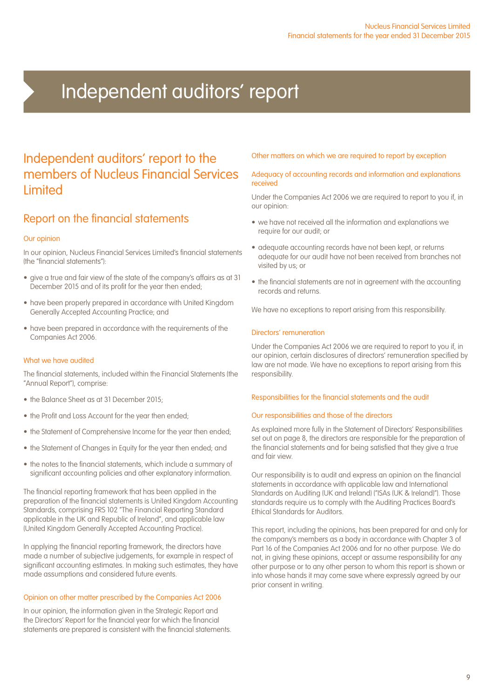### Independent auditors' report

### Independent auditors' report to the members of Nucleus Financial Services **Limited**

### Report on the financial statements

#### Our opinion

In our opinion, Nucleus Financial Services Limited's financial statements (the "financial statements"):

- give a true and fair view of the state of the company's affairs as at 31 December 2015 and of its profit for the year then ended;
- have been properly prepared in accordance with United Kingdom Generally Accepted Accounting Practice; and
- have been prepared in accordance with the requirements of the Companies Act 2006.

#### What we have audited

The financial statements, included within the Financial Statements (the "Annual Report"), comprise:

- the Balance Sheet as at 31 December 2015;
- the Profit and Loss Account for the year then ended;
- the Statement of Comprehensive Income for the year then ended;
- the Statement of Changes in Equity for the year then ended; and
- the notes to the financial statements, which include a summary of significant accounting policies and other explanatory information.

The financial reporting framework that has been applied in the preparation of the financial statements is United Kingdom Accounting Standards, comprising FRS 102 "The Financial Reporting Standard applicable in the UK and Republic of Ireland", and applicable law (United Kingdom Generally Accepted Accounting Practice).

In applying the financial reporting framework, the directors have made a number of subjective judgements, for example in respect of significant accounting estimates. In making such estimates, they have made assumptions and considered future events.

#### Opinion on other matter prescribed by the Companies Act 2006

In our opinion, the information given in the Strategic Report and the Directors' Report for the financial year for which the financial statements are prepared is consistent with the financial statements.

#### Other matters on which we are required to report by exception

#### Adequacy of accounting records and information and explanations received

Under the Companies Act 2006 we are required to report to you if, in our opinion:

- we have not received all the information and explanations we require for our audit; or
- adequate accounting records have not been kept, or returns adequate for our audit have not been received from branches not visited by us; or
- the financial statements are not in agreement with the accounting records and returns.

We have no exceptions to report arising from this responsibility.

#### Directors' remuneration

Under the Companies Act 2006 we are required to report to you if, in our opinion, certain disclosures of directors' remuneration specified by law are not made. We have no exceptions to report arising from this responsibility.

#### Responsibilities for the financial statements and the audit

#### Our responsibilities and those of the directors

As explained more fully in the Statement of Directors' Responsibilities set out on page 8, the directors are responsible for the preparation of the financial statements and for being satisfied that they give a true and fair view.

Our responsibility is to audit and express an opinion on the financial statements in accordance with applicable law and International Standards on Auditing (UK and Ireland) ("ISAs (UK & Ireland)"). Those standards require us to comply with the Auditing Practices Board's Ethical Standards for Auditors.

This report, including the opinions, has been prepared for and only for the company's members as a body in accordance with Chapter 3 of Part 16 of the Companies Act 2006 and for no other purpose. We do not, in giving these opinions, accept or assume responsibility for any other purpose or to any other person to whom this report is shown or into whose hands it may come save where expressly agreed by our prior consent in writing.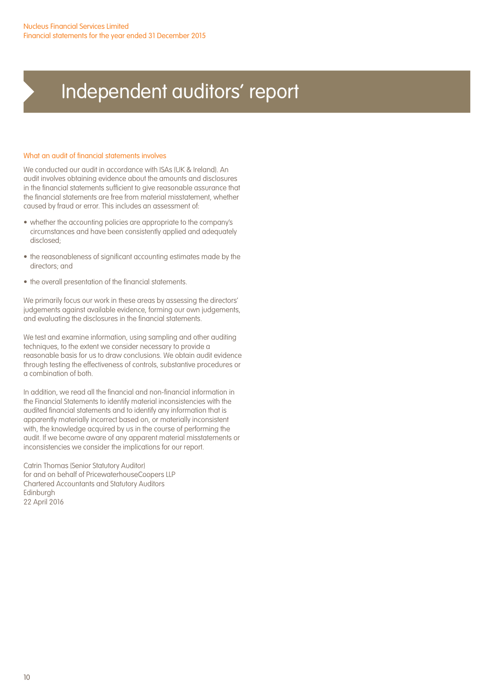## Independent auditors' report

#### What an audit of financial statements involves

We conducted our audit in accordance with ISAs (UK & Ireland). An audit involves obtaining evidence about the amounts and disclosures in the financial statements sufficient to give reasonable assurance that the financial statements are free from material misstatement, whether caused by fraud or error. This includes an assessment of:

- whether the accounting policies are appropriate to the company's circumstances and have been consistently applied and adequately disclosed;
- the reasonableness of significant accounting estimates made by the directors; and
- the overall presentation of the financial statements.

We primarily focus our work in these areas by assessing the directors' judgements against available evidence, forming our own judgements, and evaluating the disclosures in the financial statements.

We test and examine information, using sampling and other auditing techniques, to the extent we consider necessary to provide a reasonable basis for us to draw conclusions. We obtain audit evidence through testing the effectiveness of controls, substantive procedures or a combination of both.

In addition, we read all the financial and non-financial information in the Financial Statements to identify material inconsistencies with the audited financial statements and to identify any information that is apparently materially incorrect based on, or materially inconsistent with, the knowledge acquired by us in the course of performing the audit. If we become aware of any apparent material misstatements or inconsistencies we consider the implications for our report.

Catrin Thomas (Senior Statutory Auditor) for and on behalf of PricewaterhouseCoopers LLP Chartered Accountants and Statutory Auditors Edinburgh 22 April 2016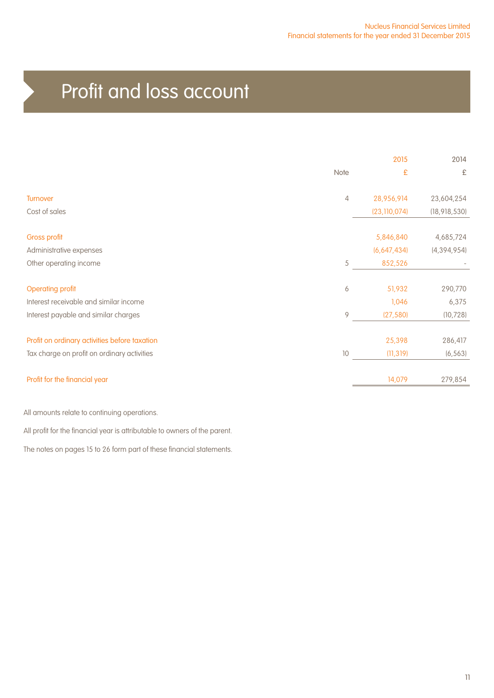## Profit and loss account

|                                               |                | 2015           | 2014           |
|-----------------------------------------------|----------------|----------------|----------------|
|                                               | Note           | £              | £              |
| Turnover                                      | $\overline{4}$ | 28,956,914     | 23,604,254     |
| Cost of sales                                 |                | (23, 110, 074) | (18, 918, 530) |
| <b>Gross profit</b>                           |                | 5,846,840      | 4,685,724      |
| Administrative expenses                       |                | (6,647,434)    | (4, 394, 954)  |
| Other operating income                        | 5              | 852,526        |                |
| <b>Operating profit</b>                       | 6              | 51,932         | 290,770        |
| Interest receivable and similar income        |                | 1,046          | 6,375          |
| Interest payable and similar charges          | 9              | (27, 580)      | (10, 728)      |
| Profit on ordinary activities before taxation |                | 25,398         | 286,417        |
| Tax charge on profit on ordinary activities   | 10             | (11, 319)      | (6, 563)       |
| Profit for the financial year                 |                | 14,079         | 279,854        |
|                                               |                |                |                |

All amounts relate to continuing operations.

All profit for the financial year is attributable to owners of the parent.

The notes on pages 15 to 26 form part of these financial statements.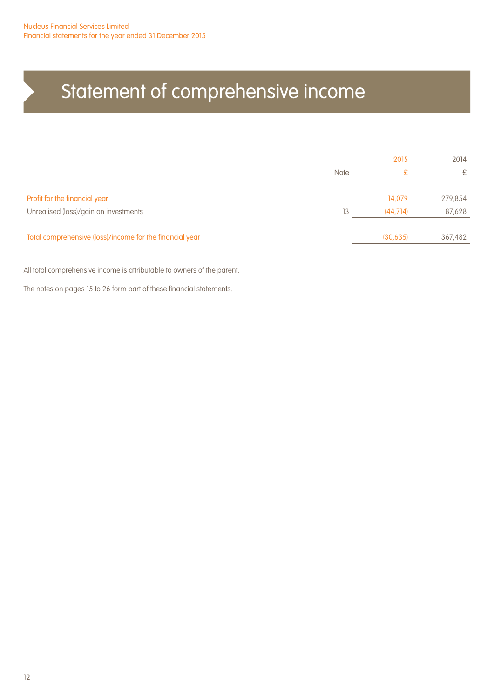## Statement of comprehensive income

|                                                          |             | 2015      | 2014    |
|----------------------------------------------------------|-------------|-----------|---------|
|                                                          | <b>Note</b> | £         | £       |
| Profit for the financial year                            |             | 14,079    | 279,854 |
| Unrealised (loss)/gain on investments                    | 13          | (44.714)  | 87,628  |
| Total comprehensive (loss)/income for the financial year |             | (30, 635) | 367,482 |
|                                                          |             |           |         |

All total comprehensive income is attributable to owners of the parent.

The notes on pages 15 to 26 form part of these financial statements.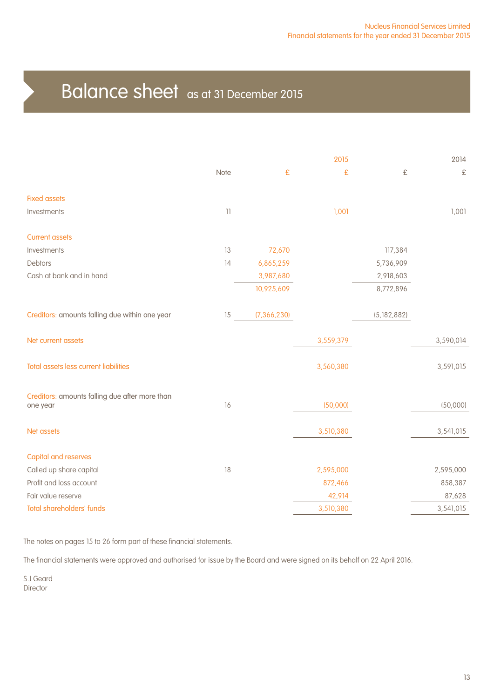### Balance sheet as at 31 December 2015

|                                                            |                                                                           |               | 2015      |               | 2014      |
|------------------------------------------------------------|---------------------------------------------------------------------------|---------------|-----------|---------------|-----------|
|                                                            | Note                                                                      | £             | £         | £             | $\pounds$ |
| <b>Fixed assets</b>                                        |                                                                           |               |           |               |           |
| Investments                                                | $\begin{array}{c} \n \begin{array}{c} \n 1 \n \end{array} \n \end{array}$ |               | 1,001     |               | 1,001     |
| <b>Current assets</b>                                      |                                                                           |               |           |               |           |
| Investments                                                | 13                                                                        | 72,670        |           | 117,384       |           |
| Debtors                                                    | 14                                                                        | 6,865,259     |           | 5,736,909     |           |
| Cash at bank and in hand                                   |                                                                           | 3,987,680     |           | 2,918,603     |           |
|                                                            |                                                                           | 10,925,609    |           | 8,772,896     |           |
| Creditors: amounts falling due within one year             | 15                                                                        | (7, 366, 230) |           | (5, 182, 882) |           |
| Net current assets                                         |                                                                           |               | 3,559,379 |               | 3,590,014 |
| Total assets less current liabilities                      |                                                                           |               | 3,560,380 |               | 3,591,015 |
| Creditors: amounts falling due after more than<br>one year | 16                                                                        |               | (50,000)  |               | (50,000)  |
|                                                            |                                                                           |               |           |               |           |
| Net assets                                                 |                                                                           |               | 3,510,380 |               | 3,541,015 |
| <b>Capital and reserves</b>                                |                                                                           |               |           |               |           |
| Called up share capital                                    | 18                                                                        |               | 2,595,000 |               | 2,595,000 |
| Profit and loss account                                    |                                                                           |               | 872,466   |               | 858,387   |
| Fair value reserve                                         |                                                                           |               | 42,914    |               | 87,628    |
| <b>Total shareholders' funds</b>                           |                                                                           |               | 3,510,380 |               | 3,541,015 |
|                                                            |                                                                           |               |           |               |           |

The notes on pages 15 to 26 form part of these financial statements.

The financial statements were approved and authorised for issue by the Board and were signed on its behalf on 22 April 2016.

S J Geard Director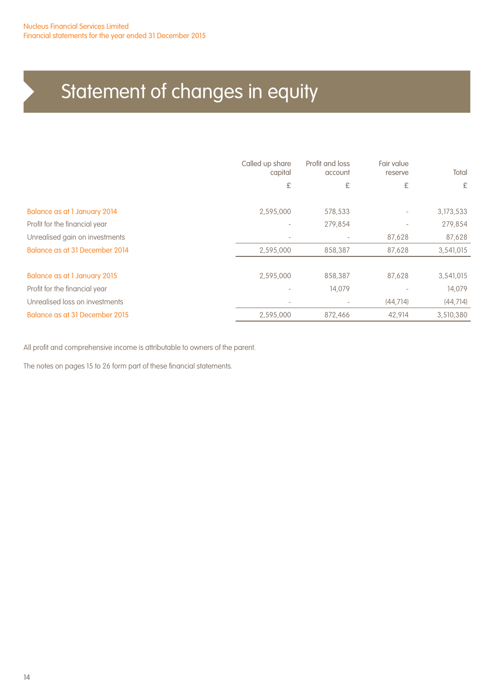## Statement of changes in equity

|                                | Called up share<br>capital<br>£ | Profit and loss<br>account<br>£ | Fair value<br>reserve<br>£ | Total<br>£ |
|--------------------------------|---------------------------------|---------------------------------|----------------------------|------------|
| Balance as at 1 January 2014   | 2,595,000                       | 578,533                         | $\overline{\phantom{a}}$   | 3,173,533  |
| Profit for the financial year  | $\overline{\phantom{a}}$        | 279,854                         | $\overline{\phantom{0}}$   | 279,854    |
| Unrealised gain on investments | $\overline{\phantom{a}}$        | $\overline{\phantom{a}}$        | 87,628                     | 87,628     |
| Balance as at 31 December 2014 | 2,595,000                       | 858,387                         | 87,628                     | 3,541,015  |
|                                |                                 |                                 |                            |            |
| Balance as at 1 January 2015   | 2,595,000                       | 858,387                         | 87,628                     | 3,541,015  |
| Profit for the financial year  |                                 | 14,079                          |                            | 14,079     |
| Unrealised loss on investments | ٠                               |                                 | (44, 714)                  | (44, 714)  |
| Balance as at 31 December 2015 | 2,595,000                       | 872.466                         | 42.914                     | 3,510,380  |

All profit and comprehensive income is attributable to owners of the parent.

The notes on pages 15 to 26 form part of these financial statements.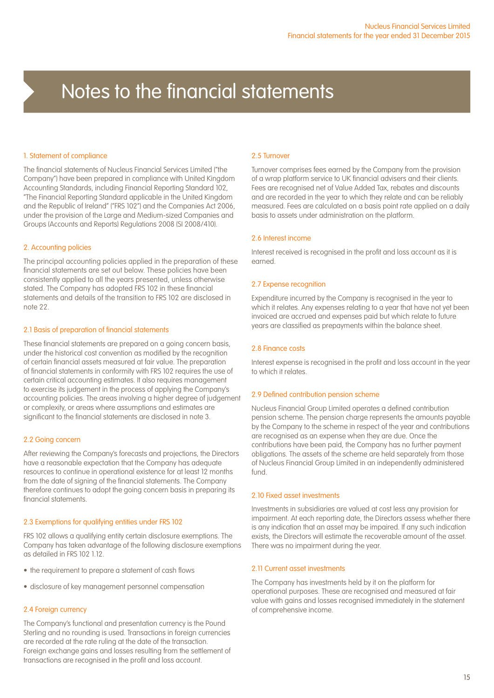#### 1. Statement of compliance

The financial statements of Nucleus Financial Services Limited ("the Company") have been prepared in compliance with United Kingdom Accounting Standards, including Financial Reporting Standard 102, "The Financial Reporting Standard applicable in the United Kingdom and the Republic of Ireland" ("FRS 102") and the Companies Act 2006, under the provision of the Large and Medium-sized Companies and Groups (Accounts and Reports) Regulations 2008 (SI 2008/410).

#### 2. Accounting policies

The principal accounting policies applied in the preparation of these financial statements are set out below. These policies have been consistently applied to all the years presented, unless otherwise stated. The Company has adopted FRS 102 in these financial statements and details of the transition to FRS 102 are disclosed in note 22.

#### 2.1 Basis of preparation of financial statements

These financial statements are prepared on a going concern basis, under the historical cost convention as modified by the recognition of certain financial assets measured at fair value. The preparation of financial statements in conformity with FRS 102 requires the use of certain critical accounting estimates. It also requires management to exercise its judgement in the process of applying the Company's accounting policies. The areas involving a higher degree of judgement or complexity, or areas where assumptions and estimates are significant to the financial statements are disclosed in note 3.

#### 2.2 Going concern

After reviewing the Company's forecasts and projections, the Directors have a reasonable expectation that the Company has adequate resources to continue in operational existence for at least 12 months from the date of signing of the financial statements. The Company therefore continues to adopt the going concern basis in preparing its financial statements.

#### 2.3 Exemptions for qualifying entities under FRS 102

FRS 102 allows a qualifying entity certain disclosure exemptions. The Company has taken advantage of the following disclosure exemptions as detailed in FRS 102 1.12.

- the requirement to prepare a statement of cash flows
- disclosure of key management personnel compensation

#### 2.4 Foreign currency

The Company's functional and presentation currency is the Pound Sterling and no rounding is used. Transactions in foreign currencies are recorded at the rate ruling at the date of the transaction. Foreign exchange gains and losses resulting from the settlement of transactions are recognised in the profit and loss account.

#### 2.5 Turnover

Turnover comprises fees earned by the Company from the provision of a wrap platform service to UK financial advisers and their clients. Fees are recognised net of Value Added Tax, rebates and discounts and are recorded in the year to which they relate and can be reliably measured. Fees are calculated on a basis point rate applied on a daily basis to assets under administration on the platform.

#### 2.6 Interest income

Interest received is recognised in the profit and loss account as it is earned.

#### 2.7 Expense recognition

Expenditure incurred by the Company is recognised in the year to which it relates. Any expenses relating to a year that have not yet been invoiced are accrued and expenses paid but which relate to future years are classified as prepayments within the balance sheet.

#### 2.8 Finance costs

Interest expense is recognised in the profit and loss account in the year to which it relates.

#### 2.9 Defined contribution pension scheme

Nucleus Financial Group Limited operates a defined contribution pension scheme. The pension charge represents the amounts payable by the Company to the scheme in respect of the year and contributions are recognised as an expense when they are due. Once the contributions have been paid, the Company has no further payment obligations. The assets of the scheme are held separately from those of Nucleus Financial Group Limited in an independently administered fund.

#### 2.10 Fixed asset investments

Investments in subsidiaries are valued at cost less any provision for impairment. At each reporting date, the Directors assess whether there is any indication that an asset may be impaired. If any such indication exists, the Directors will estimate the recoverable amount of the asset. There was no impairment during the year.

#### 2.11 Current asset investments

The Company has investments held by it on the platform for operational purposes. These are recognised and measured at fair value with gains and losses recognised immediately in the statement of comprehensive income.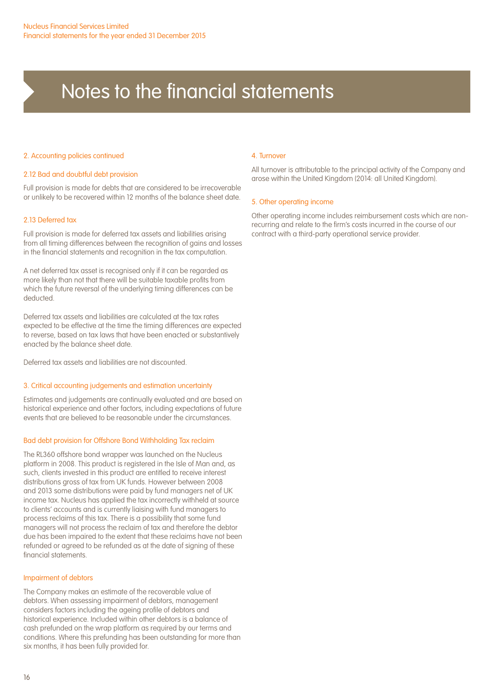#### 2. Accounting policies continued

#### 2.12 Bad and doubtful debt provision

Full provision is made for debts that are considered to be irrecoverable or unlikely to be recovered within 12 months of the balance sheet date.

#### 2.13 Deferred tax

Full provision is made for deferred tax assets and liabilities arising from all timing differences between the recognition of gains and losses in the financial statements and recognition in the tax computation.

A net deferred tax asset is recognised only if it can be regarded as more likely than not that there will be suitable taxable profits from which the future reversal of the underlying timing differences can be deducted.

Deferred tax assets and liabilities are calculated at the tax rates expected to be effective at the time the timing differences are expected to reverse, based on tax laws that have been enacted or substantively enacted by the balance sheet date.

Deferred tax assets and liabilities are not discounted.

#### 3. Critical accounting judgements and estimation uncertainty

Estimates and judgements are continually evaluated and are based on historical experience and other factors, including expectations of future events that are believed to be reasonable under the circumstances.

#### Bad debt provision for Offshore Bond Withholding Tax reclaim

The RL360 offshore bond wrapper was launched on the Nucleus platform in 2008. This product is registered in the Isle of Man and, as such, clients invested in this product are entitled to receive interest distributions gross of tax from UK funds. However between 2008 and 2013 some distributions were paid by fund managers net of UK income tax. Nucleus has applied the tax incorrectly withheld at source to clients' accounts and is currently liaising with fund managers to process reclaims of this tax. There is a possibility that some fund managers will not process the reclaim of tax and therefore the debtor due has been impaired to the extent that these reclaims have not been refunded or agreed to be refunded as at the date of signing of these financial statements.

#### Impairment of debtors

The Company makes an estimate of the recoverable value of debtors. When assessing impairment of debtors, management considers factors including the ageing profile of debtors and historical experience. Included within other debtors is a balance of cash prefunded on the wrap platform as required by our terms and conditions. Where this prefunding has been outstanding for more than six months, it has been fully provided for.

#### 4. Turnover

All turnover is attributable to the principal activity of the Company and arose within the United Kingdom (2014: all United Kingdom).

#### 5. Other operating income

Other operating income includes reimbursement costs which are nonrecurring and relate to the firm's costs incurred in the course of our contract with a third-party operational service provider.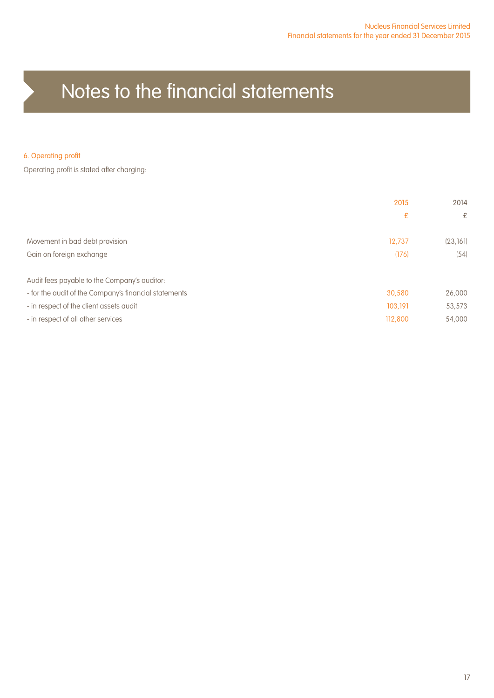#### 6. Operating profit

Operating profit is stated after charging:

|                                                       | 2015    | 2014      |
|-------------------------------------------------------|---------|-----------|
|                                                       | £       | £         |
| Movement in bad debt provision                        | 12.737  | (23, 161) |
| Gain on foreign exchange                              | (176)   | (54)      |
| Audit fees payable to the Company's auditor:          |         |           |
| - for the audit of the Company's financial statements | 30,580  | 26,000    |
| - in respect of the client assets audit               | 103,191 | 53,573    |
| - in respect of all other services                    | 112,800 | 54,000    |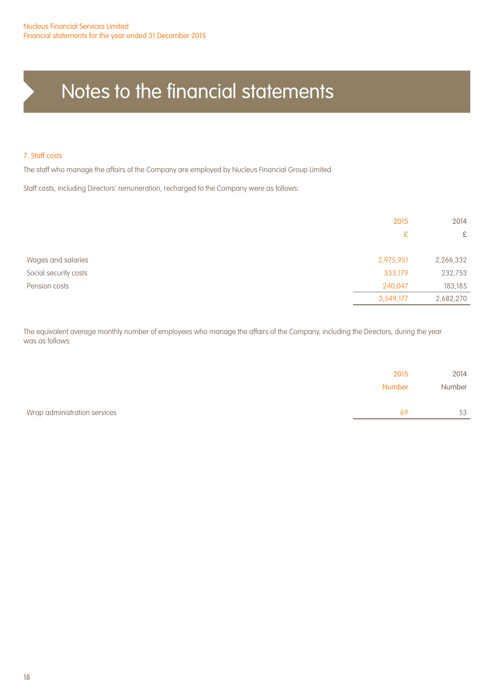#### 7. Staff costs

The staff who manage the affairs of the Company are employed by Nucleus Financial Group Limited.

Staff costs, including Directors' remuneration, recharged to the Company were as follows:

|                       | 2015      | 2014      |
|-----------------------|-----------|-----------|
|                       | £         | £         |
| Wages and salaries    | 2,975,951 | 2,266,332 |
| Social security costs | 333,179   | 232,753   |
| Pension costs         | 240,047   | 183,185   |
|                       | 3,549,177 | 2,682,270 |

The equivalent average monthly number of employees who manage the affairs of the Company, including the Directors, during the year was as follows:

|                              | 2015<br>Number | 2014<br>Number |
|------------------------------|----------------|----------------|
| Wrap administration services | 69             | 53             |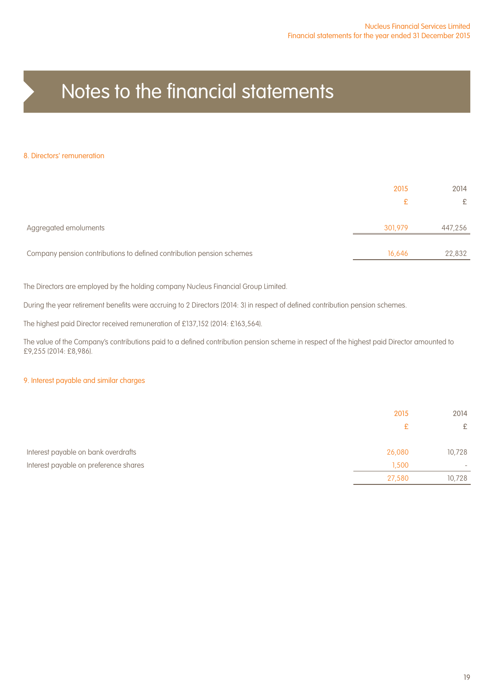#### 8. Directors' remuneration

|                                                                       | 2015    | 2014    |
|-----------------------------------------------------------------------|---------|---------|
|                                                                       | ₽       | £       |
| Aggregated emoluments                                                 | 301.979 | 447,256 |
| Company pension contributions to defined contribution pension schemes | 16,646  | 22,832  |

The Directors are employed by the holding company Nucleus Financial Group Limited.

During the year retirement benefits were accruing to 2 Directors (2014: 3) in respect of defined contribution pension schemes.

The highest paid Director received remuneration of £137,152 (2014: £163,564).

The value of the Company's contributions paid to a defined contribution pension scheme in respect of the highest paid Director amounted to £9,255 (2014: £8,986).

#### 9. Interest payable and similar charges

|                                       | 2015   | 2014                     |
|---------------------------------------|--------|--------------------------|
|                                       | £      | £                        |
| Interest payable on bank overdrafts   | 26,080 | 10,728                   |
| Interest payable on preference shares | 1,500  | $\overline{\phantom{a}}$ |
|                                       | 27,580 | 10,728                   |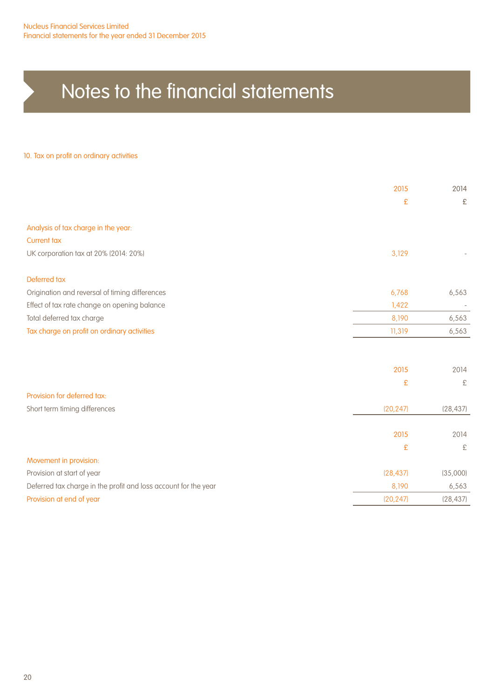#### 10. Tax on profit on ordinary activities

|                                                                 | 2015      | 2014      |
|-----------------------------------------------------------------|-----------|-----------|
|                                                                 | £         | £         |
| Analysis of tax charge in the year:                             |           |           |
| <b>Current tax</b>                                              |           |           |
| UK corporation tax at 20% (2014: 20%)                           | 3,129     |           |
| Deferred tax                                                    |           |           |
| Origination and reversal of timing differences                  | 6,768     | 6,563     |
| Effect of tax rate change on opening balance                    | 1,422     |           |
| Total deferred tax charge                                       | 8,190     | 6,563     |
| Tax charge on profit on ordinary activities                     | 11,319    | 6,563     |
|                                                                 |           |           |
|                                                                 | 2015      | 2014      |
|                                                                 | £         | £         |
| Provision for deferred tax:                                     |           |           |
| Short term timing differences                                   | (20, 247) | (28, 437) |
|                                                                 | 2015      | 2014      |
|                                                                 | £         | £         |
|                                                                 |           |           |
| Movement in provision:                                          |           |           |
| Provision at start of year                                      | (28, 437) | (35,000)  |
| Deferred tax charge in the profit and loss account for the year | 8,190     | 6,563     |
| Provision at end of year                                        | (20, 247) | (28, 437) |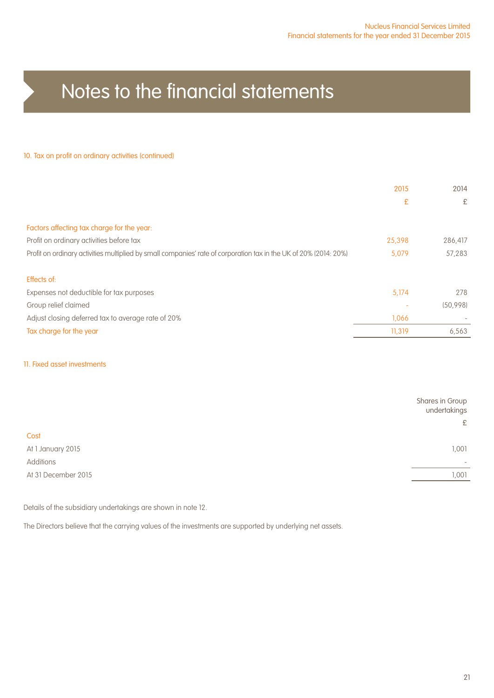#### 10. Tax on profit on ordinary activities (continued)

| 2015   | 2014                     |
|--------|--------------------------|
| £      | £                        |
|        |                          |
|        |                          |
| 25,398 | 286,417                  |
| 5.079  | 57.283                   |
|        |                          |
|        | 278                      |
|        |                          |
|        | (50.998)                 |
| 1.066  | $\overline{\phantom{a}}$ |
| 11,319 | 6,563                    |
|        | 5.174                    |

#### 11. Fixed asset investments

|                     | Shares in Group<br>undertakings |
|---------------------|---------------------------------|
|                     | £                               |
| Cost                |                                 |
| At 1 January 2015   | 1,001                           |
| Additions           | $\overline{\phantom{a}}$        |
| At 31 December 2015 | 1,001                           |
|                     |                                 |

Details of the subsidiary undertakings are shown in note 12.

The Directors believe that the carrying values of the investments are supported by underlying net assets.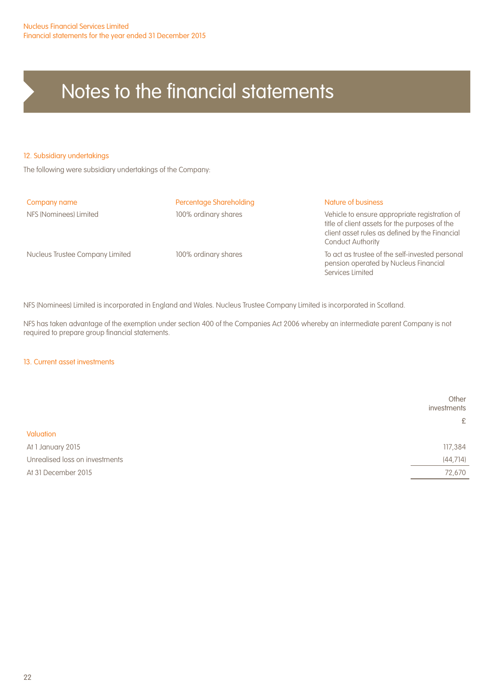#### 12. Subsidiary undertakings

The following were subsidiary undertakings of the Company:

| Percentage Shareholding | Nature of business                                                                                                                                                            |
|-------------------------|-------------------------------------------------------------------------------------------------------------------------------------------------------------------------------|
| 100% ordinary shares    | Vehicle to ensure appropriate registration of<br>title of client assets for the purposes of the<br>client asset rules as defined by the Financial<br><b>Conduct Authority</b> |
| 100% ordinary shares    | To act as trustee of the self-invested personal<br>pension operated by Nucleus Financial<br>Services Limited                                                                  |
|                         |                                                                                                                                                                               |

NFS (Nominees) Limited is incorporated in England and Wales. Nucleus Trustee Company Limited is incorporated in Scotland.

NFS has taken advantage of the exemption under section 400 of the Companies Act 2006 whereby an intermediate parent Company is not required to prepare group financial statements.

#### 13. Current asset investments

|                                | Other<br>investments |
|--------------------------------|----------------------|
|                                | £                    |
| Valuation                      |                      |
| At 1 January 2015              | 117,384              |
| Unrealised loss on investments | (44, 714)            |
| At 31 December 2015            | 72,670               |
|                                |                      |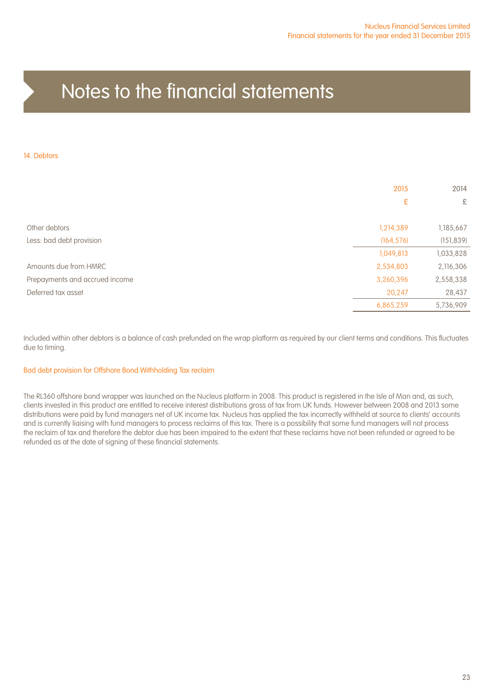#### 14. Debtors

|                                | 2015<br>£  | 2014<br>£  |
|--------------------------------|------------|------------|
| Other debtors                  | 1,214,389  | 1,185,667  |
| Less: bad debt provision       | (164, 576) | (151, 839) |
|                                | 1,049,813  | 1,033,828  |
| Amounts due from HMRC          | 2,534,803  | 2,116,306  |
| Prepayments and accrued income | 3,260,396  | 2,558,338  |
| Deferred tax asset             | 20,247     | 28,437     |
|                                | 6,865,259  | 5,736,909  |

Included within other debtors is a balance of cash prefunded on the wrap platform as required by our client terms and conditions. This fluctuates due to timing.

#### Bad debt provision for Offshore Bond Withholding Tax reclaim

The RL360 offshore bond wrapper was launched on the Nucleus platform in 2008. This product is registered in the Isle of Man and, as such, clients invested in this product are entitled to receive interest distributions gross of tax from UK funds. However between 2008 and 2013 some distributions were paid by fund managers net of UK income tax. Nucleus has applied the tax incorrectly withheld at source to clients' accounts and is currently liaising with fund managers to process reclaims of this tax. There is a possibility that some fund managers will not process the reclaim of tax and therefore the debtor due has been impaired to the extent that these reclaims have not been refunded or agreed to be refunded as at the date of signing of these financial statements.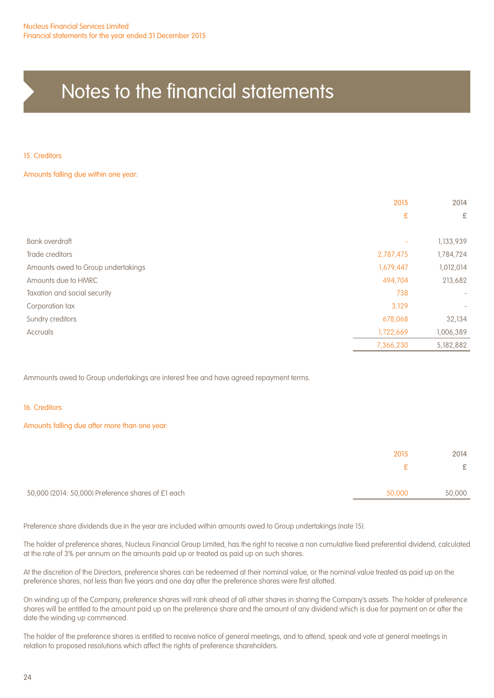15. Creditors

Amounts falling due within one year:

|                                    | 2015      | 2014                         |
|------------------------------------|-----------|------------------------------|
|                                    | £         | £                            |
| Bank overdraft                     |           | 1,133,939                    |
| Trade creditors                    | 2,787,475 | 1,784,724                    |
| Amounts owed to Group undertakings | 1,679,447 | 1,012,014                    |
| Amounts due to HMRC                | 494,704   | 213,682                      |
| Taxation and social security       | 738       | $\overline{\phantom{m}}$     |
| Corporation tax                    | 3,129     | $\qquad \qquad \blacksquare$ |
| Sundry creditors                   | 678,068   | 32,134                       |
| <b>Accruals</b>                    | 1,722,669 | 1,006,389                    |
|                                    | 7,366,230 | 5,182,882                    |

Ammounts owed to Group undertakings are interest free and have agreed repayment terms.

16. Creditors

Amounts falling due after more than one year:

|                                                    | 2015   | 2014   |
|----------------------------------------------------|--------|--------|
|                                                    | £.     | £      |
| 50,000 (2014: 50,000) Preference shares of £1 each | 50,000 | 50,000 |
|                                                    |        |        |

Preference share dividends due in the year are included within amounts owed to Group undertakings (note 15).

The holder of preference shares, Nucleus Financial Group Limited, has the right to receive a non cumulative fixed preferential dividend, calculated at the rate of 3% per annum on the amounts paid up or treated as paid up on such shares.

At the discretion of the Directors, preference shares can be redeemed at their nominal value, or the nominal value treated as paid up on the preference shares, not less than five years and one day after the preference shares were first allotted.

On winding up of the Company, preference shares will rank ahead of all other shares in sharing the Company's assets. The holder of preference shares will be entitled to the amount paid up on the preference share and the amount of any dividend which is due for payment on or after the date the winding up commenced.

The holder of the preference shares is entitled to receive notice of general meetings, and to attend, speak and vote at general meetings in relation to proposed resolutions which affect the rights of preference shareholders.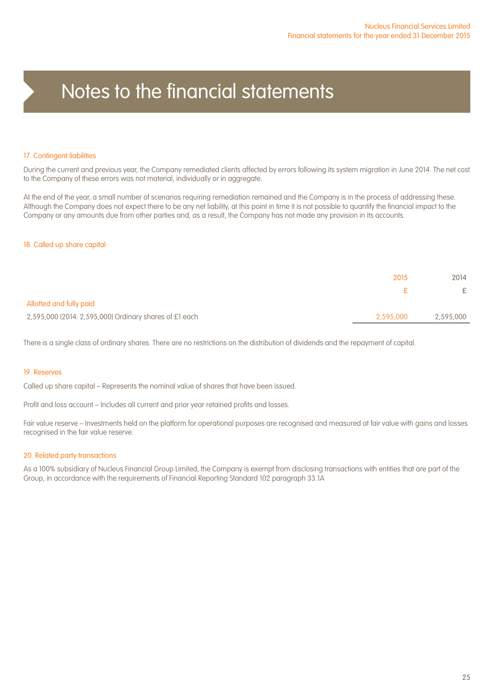#### 17. Contingent liabilities

During the current and previous year, the Company remediated clients affected by errors following its system migration in June 2014. The net cost to the Company of these errors was not material, individually or in aggregate.

At the end of the year, a small number of scenarios requiring remediation remained and the Company is in the process of addressing these. Although the Company does not expect there to be any net liability, at this point in time it is not possible to quantify the financial impact to the Company or any amounts due from other parties and, as a result, the Company has not made any provision in its accounts.

#### 18. Called up share capital

|                                                        | 2015      | 2014      |
|--------------------------------------------------------|-----------|-----------|
|                                                        |           | £         |
| Allotted and fully paid                                |           |           |
| 2,595,000 (2014: 2,595,000) Ordinary shares of £1 each | 2,595,000 | 2,595,000 |

There is a single class of ordinary shares. There are no restrictions on the distribution of dividends and the repayment of capital.

#### 19. Reserves

Called up share capital – Represents the nominal value of shares that have been issued.

Profit and loss account – Includes all current and prior year retained profits and losses.

Fair value reserve – Investments held on the platform for operational purposes are recognised and measured at fair value with gains and losses recognised in the fair value reserve.

#### 20. Related party transactions

As a 100% subsidiary of Nucleus Financial Group Limited, the Company is exempt from disclosing transactions with entities that are part of the Group, in accordance with the requirements of Financial Reporting Standard 102 paragraph 33.1A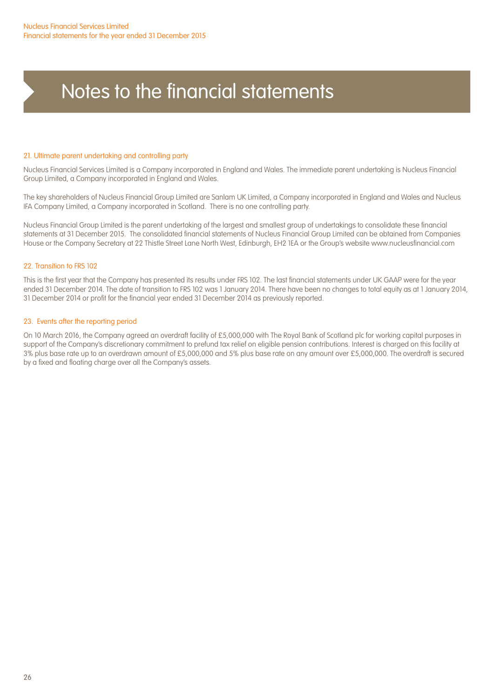#### 21. Ultimate parent undertaking and controlling party

Nucleus Financial Services Limited is a Company incorporated in England and Wales. The immediate parent undertaking is Nucleus Financial Group Limited, a Company incorporated in England and Wales.

The key shareholders of Nucleus Financial Group Limited are Sanlam UK Limited, a Company incorporated in England and Wales and Nucleus IFA Company Limited, a Company incorporated in Scotland. There is no one controlling party.

Nucleus Financial Group Limited is the parent undertaking of the largest and smallest group of undertakings to consolidate these financial statements at 31 December 2015. The consolidated financial statements of Nucleus Financial Group Limited can be obtained from Companies House or the Company Secretary at 22 Thistle Street Lane North West, Edinburgh, EH2 1EA or the Group's website www.nucleusfinancial.com

#### 22. Transition to FRS 102

This is the first year that the Company has presented its results under FRS 102. The last financial statements under UK GAAP were for the year ended 31 December 2014. The date of transition to FRS 102 was 1 January 2014. There have been no changes to total equity as at 1 January 2014, 31 December 2014 or profit for the financial year ended 31 December 2014 as previously reported.

#### 23. Events after the reporting period

On 10 March 2016, the Company agreed an overdraft facility of £5,000,000 with The Royal Bank of Scotland plc for working capital purposes in support of the Company's discretionary commitment to prefund tax relief on eligible pension contributions. Interest is charged on this facility at 3% plus base rate up to an overdrawn amount of £5,000,000 and 5% plus base rate on any amount over £5,000,000. The overdraft is secured by a fixed and floating charge over all the Company's assets.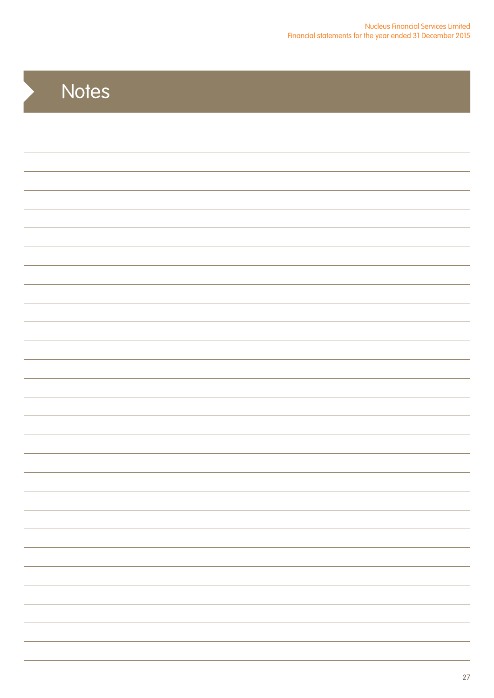## **Notes**